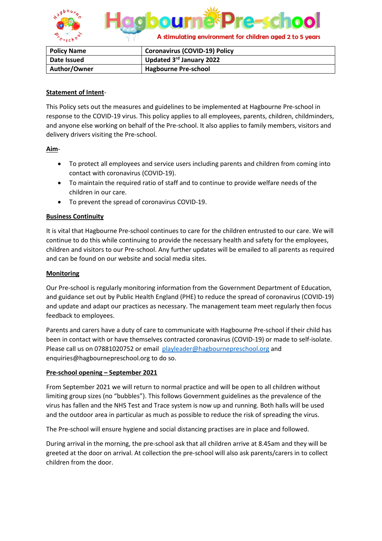

| <b>Policy Name</b> | <b>Coronavirus (COVID-19) Policy</b> |
|--------------------|--------------------------------------|
| Date Issued        | Updated 3rd January 2022             |
| Author/Owner       | <b>Hagbourne Pre-school</b>          |

### **Statement of Intent**-

This Policy sets out the measures and guidelines to be implemented at Hagbourne Pre-school in response to the COVID-19 virus. This policy applies to all employees, parents, children, childminders, and anyone else working on behalf of the Pre-school. It also applies to family members, visitors and delivery drivers visiting the Pre-school.

### **Aim**-

- To protect all employees and service users including parents and children from coming into contact with coronavirus (COVID-19).
- To maintain the required ratio of staff and to continue to provide welfare needs of the children in our care.
- To prevent the spread of coronavirus COVID-19.

## **Business Continuity**

It is vital that Hagbourne Pre-school continues to care for the children entrusted to our care. We will continue to do this while continuing to provide the necessary health and safety for the employees, children and visitors to our Pre-school. Any further updates will be emailed to all parents as required and can be found on our website and social media sites.

#### **Monitoring**

Our Pre-school is regularly monitoring information from the Government Department of Education, and guidance set out by Public Health England (PHE) to reduce the spread of coronavirus (COVID-19) and update and adapt our practices as necessary. The management team meet regularly then focus feedback to employees.

Parents and carers have a duty of care to communicate with Hagbourne Pre-school if their child has been in contact with or have themselves contracted coronavirus (COVID-19) or made to self-isolate. Please call us on 07881020752 or email [playleader@hagbournepreschool.org](mailto:playleader@hagbournepreschool.org) and enquiries@hagbournepreschool.org to do so.

### **Pre-school opening – September 2021**

From September 2021 we will return to normal practice and will be open to all children without limiting group sizes (no "bubbles"). This follows Government guidelines as the prevalence of the virus has fallen and the NHS Test and Trace system is now up and running. Both halls will be used and the outdoor area in particular as much as possible to reduce the risk of spreading the virus.

The Pre-school will ensure hygiene and social distancing practises are in place and followed.

During arrival in the morning, the pre-school ask that all children arrive at 8.45am and they will be greeted at the door on arrival. At collection the pre-school will also ask parents/carers in to collect children from the door.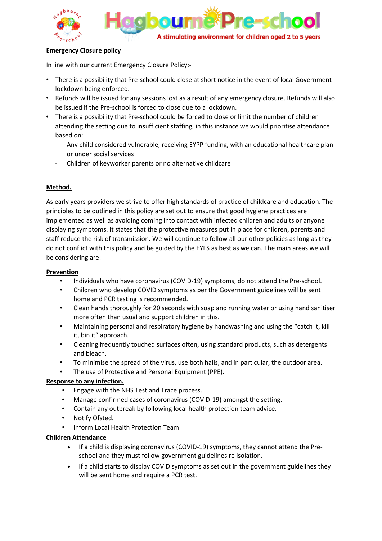

### **Emergency Closure policy**

In line with our current Emergency Closure Policy:-

- There is a possibility that Pre-school could close at short notice in the event of local Government lockdown being enforced.
- Refunds will be issued for any sessions lost as a result of any emergency closure. Refunds will also be issued if the Pre-school is forced to close due to a lockdown.
- There is a possibility that Pre-school could be forced to close or limit the number of children attending the setting due to insufficient staffing, in this instance we would prioritise attendance based on:
	- Any child considered vulnerable, receiving EYPP funding, with an educational healthcare plan or under social services
	- Children of keyworker parents or no alternative childcare

## **Method.**

As early years providers we strive to offer high standards of practice of childcare and education. The principles to be outlined in this policy are set out to ensure that good hygiene practices are implemented as well as avoiding coming into contact with infected children and adults or anyone displaying symptoms. It states that the protective measures put in place for children, parents and staff reduce the risk of transmission. We will continue to follow all our other policies as long as they do not conflict with this policy and be guided by the EYFS as best as we can. The main areas we will be considering are:

### **Prevention**

- Individuals who have coronavirus (COVID-19) symptoms, do not attend the Pre-school.
- Children who develop COVID symptoms as per the Government guidelines will be sent home and PCR testing is recommended.
- Clean hands thoroughly for 20 seconds with soap and running water or using hand sanitiser more often than usual and support children in this.
- Maintaining personal and respiratory hygiene by handwashing and using the "catch it, kill it, bin it" approach.
- Cleaning frequently touched surfaces often, using standard products, such as detergents and bleach.
- To minimise the spread of the virus, use both halls, and in particular, the outdoor area.
- The use of Protective and Personal Equipment (PPE).

# **Response to any infection.**

- Engage with the NHS Test and Trace process.
- Manage confirmed cases of coronavirus (COVID-19) amongst the setting.
- Contain any outbreak by following local health protection team advice.
- Notify Ofsted.
- Inform Local Health Protection Team

### **Children Attendance**

- If a child is displaying coronavirus (COVID-19) symptoms, they cannot attend the Preschool and they must follow government guidelines re isolation.
- If a child starts to display COVID symptoms as set out in the government guidelines they will be sent home and require a PCR test.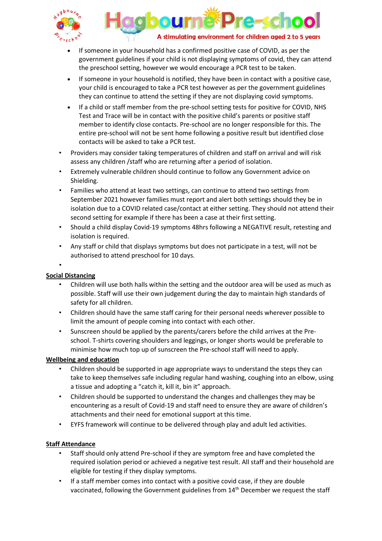



- If someone in your household has a confirmed positive case of COVID, as per the government guidelines if your child is not displaying symptoms of covid, they can attend the preschool setting, however we would encourage a PCR test to be taken.
- If someone in your household is notified, they have been in contact with a positive case, your child is encouraged to take a PCR test however as per the government guidelines they can continue to attend the setting if they are not displaying covid symptoms.
- If a child or staff member from the pre-school setting tests for positive for COVID, NHS Test and Trace will be in contact with the positive child's parents or positive staff member to identify close contacts. Pre-school are no longer responsible for this. The entire pre-school will not be sent home following a positive result but identified close contacts will be asked to take a PCR test.
- Providers may consider taking temperatures of children and staff on arrival and will risk assess any children /staff who are returning after a period of isolation.
- Extremely vulnerable children should continue to follow any Government advice on Shielding.
- Families who attend at least two settings, can continue to attend two settings from September 2021 however families must report and alert both settings should they be in isolation due to a COVID related case/contact at either setting. They should not attend their second setting for example if there has been a case at their first setting.
- Should a child display Covid-19 symptoms 48hrs following a NEGATIVE result, retesting and isolation is required.
- Any staff or child that displays symptoms but does not participate in a test, will not be authorised to attend preschool for 10 days.

•

# **Social Distancing**

- Children will use both halls within the setting and the outdoor area will be used as much as possible. Staff will use their own judgement during the day to maintain high standards of safety for all children.
- Children should have the same staff caring for their personal needs wherever possible to limit the amount of people coming into contact with each other.
- Sunscreen should be applied by the parents/carers before the child arrives at the Preschool. T-shirts covering shoulders and leggings, or longer shorts would be preferable to minimise how much top up of sunscreen the Pre-school staff will need to apply.

# **Wellbeing and education**

- Children should be supported in age appropriate ways to understand the steps they can take to keep themselves safe including regular hand washing, coughing into an elbow, using a tissue and adopting a "catch it, kill it, bin it" approach.
- Children should be supported to understand the changes and challenges they may be encountering as a result of Covid-19 and staff need to ensure they are aware of children's attachments and their need for emotional support at this time.
- EYFS framework will continue to be delivered through play and adult led activities.

# **Staff Attendance**

- Staff should only attend Pre-school if they are symptom free and have completed the required isolation period or achieved a negative test result. All staff and their household are eligible for testing if they display symptoms.
- If a staff member comes into contact with a positive covid case, if they are double vaccinated, following the Government guidelines from 14th December we request the staff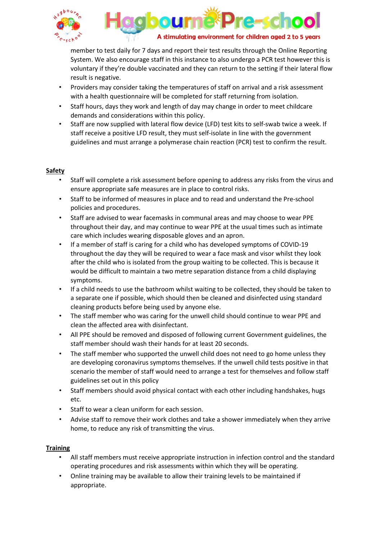



member to test daily for 7 days and report their test results through the Online Reporting System. We also encourage staff in this instance to also undergo a PCR test however this is voluntary if they're double vaccinated and they can return to the setting if their lateral flow result is negative.

- Providers may consider taking the temperatures of staff on arrival and a risk assessment with a health questionnaire will be completed for staff returning from isolation.
- Staff hours, days they work and length of day may change in order to meet childcare demands and considerations within this policy.
- Staff are now supplied with lateral flow device (LFD) test kits to self-swab twice a week. If staff receive a positive LFD result, they must self-isolate in line with the government guidelines and must arrange a polymerase chain reaction (PCR) test to confirm the result.

## **Safety**

- Staff will complete a risk assessment before opening to address any risks from the virus and ensure appropriate safe measures are in place to control risks.
- Staff to be informed of measures in place and to read and understand the Pre-school policies and procedures.
- Staff are advised to wear facemasks in communal areas and may choose to wear PPE throughout their day, and may continue to wear PPE at the usual times such as intimate care which includes wearing disposable gloves and an apron.
- If a member of staff is caring for a child who has developed symptoms of COVID-19 throughout the day they will be required to wear a face mask and visor whilst they look after the child who is isolated from the group waiting to be collected. This is because it would be difficult to maintain a two metre separation distance from a child displaying symptoms.
- If a child needs to use the bathroom whilst waiting to be collected, they should be taken to a separate one if possible, which should then be cleaned and disinfected using standard cleaning products before being used by anyone else.
- The staff member who was caring for the unwell child should continue to wear PPE and clean the affected area with disinfectant.
- All PPE should be removed and disposed of following current Government guidelines, the staff member should wash their hands for at least 20 seconds.
- The staff member who supported the unwell child does not need to go home unless they are developing coronavirus symptoms themselves. If the unwell child tests positive in that scenario the member of staff would need to arrange a test for themselves and follow staff guidelines set out in this policy
- Staff members should avoid physical contact with each other including handshakes, hugs etc.
- Staff to wear a clean uniform for each session.
- Advise staff to remove their work clothes and take a shower immediately when they arrive home, to reduce any risk of transmitting the virus.

### **Training**

- All staff members must receive appropriate instruction in infection control and the standard operating procedures and risk assessments within which they will be operating.
- Online training may be available to allow their training levels to be maintained if appropriate.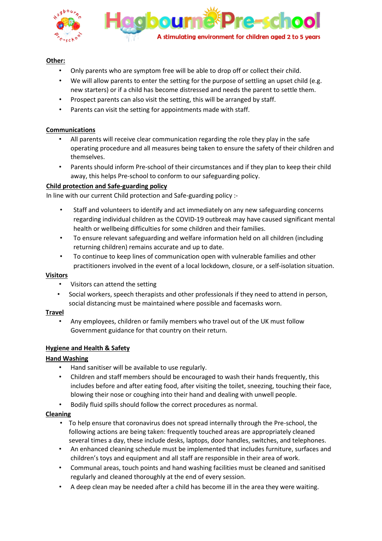

## **Other:**

- Only parents who are symptom free will be able to drop off or collect their child.
- We will allow parents to enter the setting for the purpose of settling an upset child (e.g. new starters) or if a child has become distressed and needs the parent to settle them.
- Prospect parents can also visit the setting, this will be arranged by staff.
- Parents can visit the setting for appointments made with staff.

### **Communications**

- All parents will receive clear communication regarding the role they play in the safe operating procedure and all measures being taken to ensure the safety of their children and themselves.
- Parents should inform Pre-school of their circumstances and if they plan to keep their child away, this helps Pre-school to conform to our safeguarding policy.

## **Child protection and Safe-guarding policy**

In line with our current Child protection and Safe-guarding policy :-

- Staff and volunteers to identify and act immediately on any new safeguarding concerns regarding individual children as the COVID-19 outbreak may have caused significant mental health or wellbeing difficulties for some children and their families.
- To ensure relevant safeguarding and welfare information held on all children (including returning children) remains accurate and up to date.
- To continue to keep lines of communication open with vulnerable families and other practitioners involved in the event of a local lockdown, closure, or a self-isolation situation.

### **Visitors**

- Visitors can attend the setting
- Social workers, speech therapists and other professionals if they need to attend in person, social distancing must be maintained where possible and facemasks worn.

### **Travel**

• Any employees, children or family members who travel out of the UK must follow Government guidance for that country on their return.

### **Hygiene and Health & Safety**

### **Hand Washing**

- Hand sanitiser will be available to use regularly.
- Children and staff members should be encouraged to wash their hands frequently, this includes before and after eating food, after visiting the toilet, sneezing, touching their face, blowing their nose or coughing into their hand and dealing with unwell people.
- Bodily fluid spills should follow the correct procedures as normal.

### **Cleaning**

- To help ensure that coronavirus does not spread internally through the Pre-school, the following actions are being taken: frequently touched areas are appropriately cleaned several times a day, these include desks, laptops, door handles, switches, and telephones.
- An enhanced cleaning schedule must be implemented that includes furniture, surfaces and children's toys and equipment and all staff are responsible in their area of work.
- Communal areas, touch points and hand washing facilities must be cleaned and sanitised regularly and cleaned thoroughly at the end of every session.
- A deep clean may be needed after a child has become ill in the area they were waiting.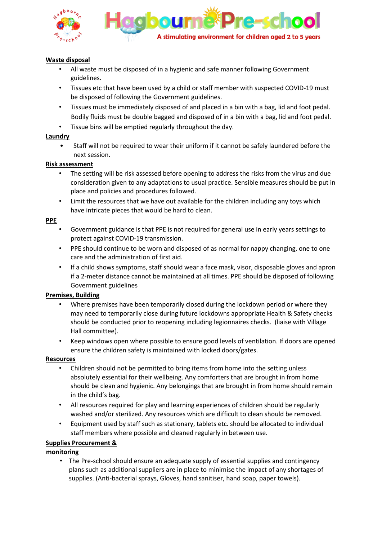

#### **Waste disposal**

- All waste must be disposed of in a hygienic and safe manner following Government guidelines.
- Tissues etc that have been used by a child or staff member with suspected COVID-19 must be disposed of following the Government guidelines.
- Tissues must be immediately disposed of and placed in a bin with a bag, lid and foot pedal. Bodily fluids must be double bagged and disposed of in a bin with a bag, lid and foot pedal.
- Tissue bins will be emptied regularly throughout the day.

#### **Laundry**

• Staff will not be required to wear their uniform if it cannot be safely laundered before the next session.

#### **Risk assessment**

- The setting will be risk assessed before opening to address the risks from the virus and due consideration given to any adaptations to usual practice. Sensible measures should be put in place and policies and procedures followed.
- Limit the resources that we have out available for the children including any toys which have intricate pieces that would be hard to clean.

#### **PPE**

- Government guidance is that PPE is not required for general use in early years settings to protect against COVID-19 transmission.
- PPE should continue to be worn and disposed of as normal for nappy changing, one to one care and the administration of first aid.
- If a child shows symptoms, staff should wear a face mask, visor, disposable gloves and apron if a 2-meter distance cannot be maintained at all times. PPE should be disposed of following Government guidelines

### **Premises, Building**

- Where premises have been temporarily closed during the lockdown period or where they may need to temporarily close during future lockdowns appropriate Health & Safety checks should be conducted prior to reopening including legionnaires checks. (liaise with Village Hall committee).
- Keep windows open where possible to ensure good levels of ventilation. If doors are opened ensure the children safety is maintained with locked doors/gates.

### **Resources**

- Children should not be permitted to bring items from home into the setting unless absolutely essential for their wellbeing. Any comforters that are brought in from home should be clean and hygienic. Any belongings that are brought in from home should remain in the child's bag.
- All resources required for play and learning experiences of children should be regularly washed and/or sterilized. Any resources which are difficult to clean should be removed.
- Equipment used by staff such as stationary, tablets etc. should be allocated to individual staff members where possible and cleaned regularly in between use.

### **Supplies Procurement &**

### **monitoring**

• The Pre-school should ensure an adequate supply of essential supplies and contingency plans such as additional suppliers are in place to minimise the impact of any shortages of supplies. (Anti-bacterial sprays, Gloves, hand sanitiser, hand soap, paper towels).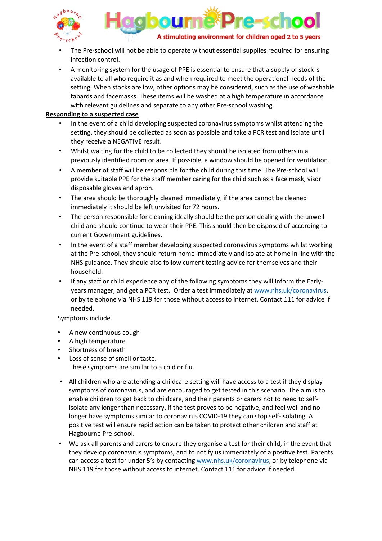



- The Pre-school will not be able to operate without essential supplies required for ensuring infection control.
- A monitoring system for the usage of PPE is essential to ensure that a supply of stock is available to all who require it as and when required to meet the operational needs of the setting. When stocks are low, other options may be considered, such as the use of washable tabards and facemasks. These items will be washed at a high temperature in accordance with relevant guidelines and separate to any other Pre-school washing.

#### **Responding to a suspected case**

- In the event of a child developing suspected coronavirus symptoms whilst attending the setting, they should be collected as soon as possible and take a PCR test and isolate until they receive a NEGATIVE result.
- Whilst waiting for the child to be collected they should be isolated from others in a previously identified room or area. If possible, a window should be opened for ventilation.
- A member of staff will be responsible for the child during this time. The Pre-school will provide suitable PPE for the staff member caring for the child such as a face mask, visor disposable gloves and apron.
- The area should be thoroughly cleaned immediately, if the area cannot be cleaned immediately it should be left unvisited for 72 hours.
- The person responsible for cleaning ideally should be the person dealing with the unwell child and should continue to wear their PPE. This should then be disposed of according to current Government guidelines.
- In the event of a staff member developing suspected coronavirus symptoms whilst working at the Pre-school, they should return home immediately and isolate at home in line with the NHS guidance. They should also follow current testing advice for themselves and their household.
- If any staff or child experience any of the following symptoms they will inform the Earlyyears manager, and get a PCR test. Order a test immediately at [www.nhs.uk/coronavirus,](http://www.nhs.uk/coronavirus) or by telephone via NHS 119 for those without access to internet. Contact 111 for advice if needed.

Symptoms include.

- A new continuous cough
- A high temperature
- Shortness of breath
- Loss of sense of smell or taste. These symptoms are similar to a cold or flu.
- All children who are attending a childcare setting will have access to a test if they display symptoms of coronavirus, and are encouraged to get tested in this scenario. The aim is to enable children to get back to childcare, and their parents or carers not to need to selfisolate any longer than necessary, if the test proves to be negative, and feel well and no longer have symptoms similar to coronavirus COVID-19 they can stop self-isolating. A positive test will ensure rapid action can be taken to protect other children and staff at Hagbourne Pre-school.
- We ask all parents and carers to ensure they organise a test for their child, in the event that they develop coronavirus symptoms, and to notify us immediately of a positive test. Parents can access a test for under 5's by contactin[g www.nhs.uk/coronavirus,](http://www.nhs.uk/coronavirus) or by telephone via NHS 119 for those without access to internet. Contact 111 for advice if needed.